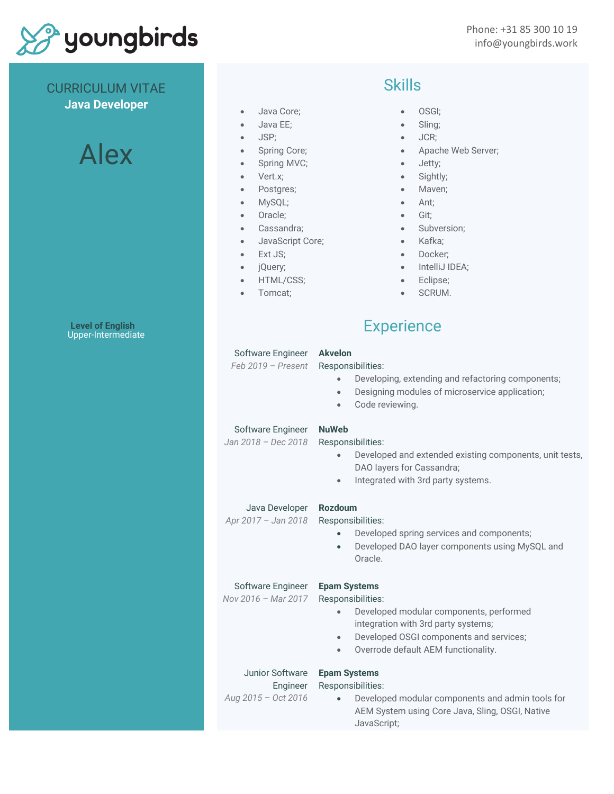

CURRICULUM VITAE

#### **Java Developer**

# Alex

**Level of English** Upper-Intermediate

### Skills

- Java Core;
- Java EE;
- JSP;
- Spring Core;
- Spring MVC;
- Vert.x;
- Postgres;
- MySQL;
- Oracle;
- Cassandra;
- JavaScript Core;
- Ext JS;
- jQuery;
- HTML/CSS;
- Tomcat;
- OSGI;
- Sling;
- JCR;
- Apache Web Server;
- Jetty;
- Sightly;
- Maven;
- Ant;
- Git;
- Subversion;
- Kafka;
- Docker;
- IntelliJ IDEA;
- Eclipse;
- SCRUM.

## **Experience**

#### Software Engineer *Feb 2019 – Present* **Akvelon** Responsibilities: • Developing, extending and refactoring components; • Designing modules of microservice application; Code reviewing. Software Engineer *Jan 2018 – Dec 2018* **NuWeb** Responsibilities: • Developed and extended existing components, unit tests, DAO layers for Cassandra; • Integrated with 3rd party systems. Java Developer *Apr 2017 – Jan 2018* **Rozdoum** Responsibilities: • Developed spring services and components; • Developed DAO layer components using MySQL and Oracle. Software Engineer *Nov 2016 – Mar 2017* **Epam Systems** Responsibilities: • Developed modular components, performed integration with 3rd party systems; • Developed OSGI components and services; • Overrode default AEM functionality. Junior Software Engineer *Aug 2015 – Oct 2016* **Epam Systems** Responsibilities: • Developed modular components and admin tools for AEM System using Core Java, Sling, OSGI, Native JavaScript;